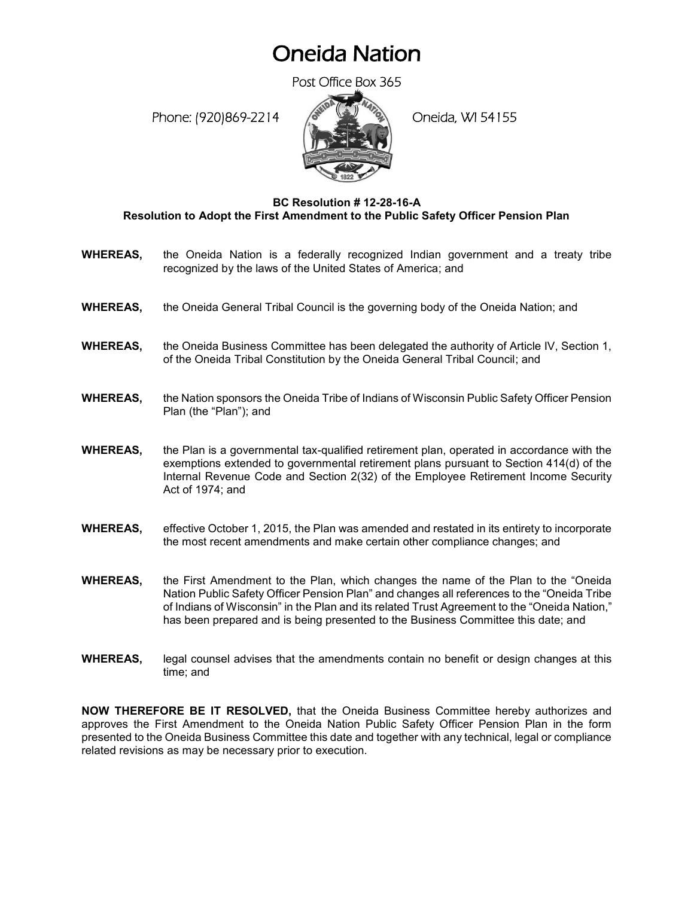## Oneida Nation

Post Office Box 365

Phone: (920)869-2214 (8 April 2) Oneida, WI 54155



## **BC Resolution # 12-28-16-A Resolution to Adopt the First Amendment to the Public Safety Officer Pension Plan**

- **WHEREAS,** the Oneida Nation is a federally recognized Indian government and a treaty tribe recognized by the laws of the United States of America; and
- **WHEREAS,** the Oneida General Tribal Council is the governing body of the Oneida Nation; and
- **WHEREAS,** the Oneida Business Committee has been delegated the authority of Article IV, Section 1, of the Oneida Tribal Constitution by the Oneida General Tribal Council; and
- **WHEREAS,** the Nation sponsors the Oneida Tribe of Indians of Wisconsin Public Safety Officer Pension Plan (the "Plan"); and
- **WHEREAS,** the Plan is a governmental tax-qualified retirement plan, operated in accordance with the exemptions extended to governmental retirement plans pursuant to Section 414(d) of the Internal Revenue Code and Section 2(32) of the Employee Retirement Income Security Act of 1974; and
- **WHEREAS,** effective October 1, 2015, the Plan was amended and restated in its entirety to incorporate the most recent amendments and make certain other compliance changes; and
- **WHEREAS,** the First Amendment to the Plan, which changes the name of the Plan to the "Oneida Nation Public Safety Officer Pension Plan" and changes all references to the "Oneida Tribe of Indians of Wisconsin" in the Plan and its related Trust Agreement to the "Oneida Nation," has been prepared and is being presented to the Business Committee this date; and
- **WHEREAS,** legal counsel advises that the amendments contain no benefit or design changes at this time; and

**NOW THEREFORE BE IT RESOLVED,** that the Oneida Business Committee hereby authorizes and approves the First Amendment to the Oneida Nation Public Safety Officer Pension Plan in the form presented to the Oneida Business Committee this date and together with any technical, legal or compliance related revisions as may be necessary prior to execution.